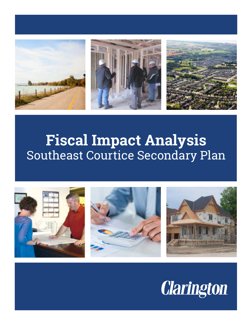

## **Fiscal Impact Analysis**  Southeast Courtice Secondary Plan



# **Clarington**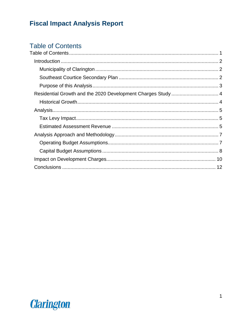## <span id="page-1-0"></span>**Table of Contents**

| Residential Growth and the 2020 Development Charges Study  4 |  |
|--------------------------------------------------------------|--|
|                                                              |  |
|                                                              |  |
|                                                              |  |
|                                                              |  |
|                                                              |  |
|                                                              |  |
|                                                              |  |
|                                                              |  |
|                                                              |  |

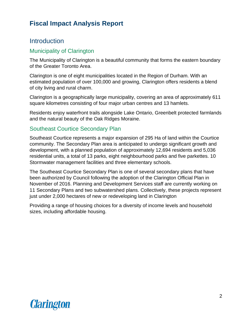### <span id="page-2-0"></span>**Introduction**

#### <span id="page-2-1"></span>Municipality of Clarington

The Municipality of Clarington is a beautiful community that forms the eastern boundary of the Greater Toronto Area.

Clarington is one of eight municipalities located in the Region of Durham. With an estimated population of over 100,000 and growing, Clarington offers residents a blend of city living and rural charm.

Clarington is a geographically large municipality, covering an area of approximately 611 square kilometres consisting of four major urban centres and 13 hamlets.

Residents enjoy waterfront trails alongside Lake Ontario, Greenbelt protected farmlands and the natural beauty of the Oak Ridges Moraine.

#### <span id="page-2-2"></span>Southeast Courtice Secondary Plan

Southeast Courtice represents a major expansion of 295 Ha of land within the Courtice community. The Secondary Plan area is anticipated to undergo significant growth and development, with a planned population of approximately 12,694 residents and 5,036 residential units, a total of 13 parks, eight neighbourhood parks and five parkettes. 10 Stormwater management facilities and three elementary schools.

The Southeast Courtice Secondary Plan is one of several secondary plans that have been authorized by Council following the adoption of the Clarington Official Plan in November of 2016. Planning and Development Services staff are currently working on 11 Secondary Plans and two subwatershed plans. Collectively, these projects represent just under 2,000 hectares of new or redeveloping land in Clarington

Providing a range of housing choices for a diversity of income levels and household sizes, including affordable housing.

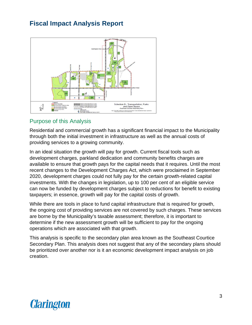

#### <span id="page-3-0"></span>Purpose of this Analysis

Residential and commercial growth has a significant financial impact to the Municipality through both the initial investment in infrastructure as well as the annual costs of providing services to a growing community.

In an ideal situation the growth will pay for growth. Current fiscal tools such as development charges, parkland dedication and community benefits charges are available to ensure that growth pays for the capital needs that it requires. Until the most recent changes to the Development Charges Act, which were proclaimed in September 2020, development charges could not fully pay for the certain growth-related capital investments. With the changes in legislation, up to 100 per cent of an eligible service can now be funded by development charges subject to reductions for benefit to existing taxpayers; in essence, growth will pay for the capital costs of growth.

While there are tools in place to fund capital infrastructure that is required for growth, the ongoing cost of providing services are not covered by such charges. These services are borne by the Municipality's taxable assessment; therefore, it is important to determine if the new assessment growth will be sufficient to pay for the ongoing operations which are associated with that growth.

This analysis is specific to the secondary plan area known as the Southeast Courtice Secondary Plan. This analysis does not suggest that any of the secondary plans should be prioritized over another nor is it an economic development impact analysis on job creation.

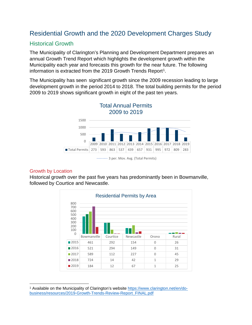## <span id="page-4-0"></span>Residential Growth and the 2020 Development Charges Study

#### <span id="page-4-1"></span>Historical Growth

The Municipality of Clarington's Planning and Development Department prepares an annual Growth Trend Report which highlights the development growth within the Municipality each year and forecasts this growth for the near future. The following information is extracted from the 20[1](#page-4-2)9 Growth Trends Report<sup>1</sup>.

The Municipality has seen significant growth since the 2009 recession leading to large development growth in the period 2014 to 2018. The total building permits for the period 2009 to 2019 shows significant growth in eight of the past ten years.



<sup>........ 3</sup> per. Mov. Avg. (Total Permits)

#### Growth by Location

Historical growth over the past five years has predominantly been in Bowmanville, followed by Courtice and Newcastle.



<span id="page-4-2"></span><sup>&</sup>lt;sup>1</sup> Available on the Municipality of Clarington's website [https://www.clarington.net/en/do](https://www.clarington.net/en/do-business/resources/2019-Growth-Trends-Review-Report_FINAL.pdf)[business/resources/2019-Growth-Trends-Review-Report\\_FINAL.pdf](https://www.clarington.net/en/do-business/resources/2019-Growth-Trends-Review-Report_FINAL.pdf)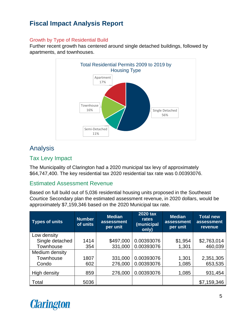#### Growth by Type of Residential Build

Further recent growth has centered around single detached buildings, followed by apartments, and townhouses.



## <span id="page-5-0"></span>Analysis

#### <span id="page-5-1"></span>Tax Levy Impact

The Municipality of Clarington had a 2020 municipal tax levy of approximately \$64,747,400. The key residential tax 2020 residential tax rate was 0.00393076.

#### <span id="page-5-2"></span>Estimated Assessment Revenue

Based on full build out of 5,036 residential housing units proposed in the Southeast Courtice Secondary plan the estimated assessment revenue, in 2020 dollars, would be approximately \$7,159,346 based on the 2020 Municipal tax rate.

| <b>Types of units</b> | <b>Number</b><br>of units | <b>Median</b><br>assessment<br>per unit | <b>2020 tax</b><br>rates<br>(municipal<br>only) | <b>Median</b><br>assessment<br>per unit | <b>Total new</b><br>assessment<br>revenue |
|-----------------------|---------------------------|-----------------------------------------|-------------------------------------------------|-----------------------------------------|-------------------------------------------|
| Low density           |                           |                                         |                                                 |                                         |                                           |
| Single detached       | 1414                      | \$497,000                               | 0.00393076                                      | \$1,954                                 | \$2,763,014                               |
| Townhouse             | 354                       | 331,000                                 | 0.00393076                                      | 1,301                                   | 460,039                                   |
| Medium density        |                           |                                         |                                                 |                                         |                                           |
| Townhouse             | 1807                      | 331,000                                 | 0.00393076                                      | 1,301                                   | 2,351,305                                 |
| Condo                 | 602                       | 276,000                                 | 0.00393076                                      | 1,085                                   | 653,535                                   |
| High density          | 859                       | 276,000                                 | 0.00393076                                      | 1,085                                   | 931,454                                   |
| Total                 | 5036                      |                                         |                                                 |                                         | \$7,159,346                               |

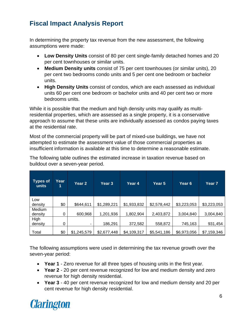In determining the property tax revenue from the new assessment, the following assumptions were made:

- **Low Density Units** consist of 80 per cent single-family detached homes and 20 per cent townhouses or similar units.
- **Medium Density units** consist of 75 per cent townhouses (or similar units), 20 per cent two bedrooms condo units and 5 per cent one bedroom or bachelor units.
- **High Density Units** consist of condos, which are each assessed as individual units 60 per cent one bedroom or bachelor units and 40 per cent two or more bedrooms units.

While it is possible that the medium and high density units may qualify as multiresidential properties, which are assessed as a single property, it is a conservative approach to assume that these units are individually assessed as condos paying taxes at the residential rate.

Most of the commercial property will be part of mixed-use buildings, we have not attempted to estimate the assessment value of those commercial properties as insufficient information is available at this time to determine a reasonable estimate.

The following table outlines the estimated increase in taxation revenue based on buildout over a seven-year period.

| <b>Types of</b><br>units | Year<br>1 | Year 2      | Year 3      | Year 4      | Year 5      | Year 6      | Year 7      |
|--------------------------|-----------|-------------|-------------|-------------|-------------|-------------|-------------|
| Low                      |           |             |             |             |             |             |             |
| density                  | \$0       | \$644,611   | \$1,289,221 | \$1,933,832 | \$2,578,442 | \$3,223,053 | \$3,223,053 |
| Medium                   |           |             |             |             |             |             |             |
| density                  | 0         | 600,968     | 1,201,936   | 1,802,904   | 2,403,872   | 3,004,840   | 3,004,840   |
| High                     |           |             |             |             |             |             |             |
| density                  | 0         |             | 186,291     | 372,582     | 558,872     | 745,163     | 931,454     |
| Total                    | \$0       | \$1,245,579 | \$2,677,448 | \$4,109,317 | \$5,541,186 | \$6,973,056 | \$7,159,346 |

The following assumptions were used in determining the tax revenue growth over the seven-year period:

- **Year 1** Zero revenue for all three types of housing units in the first year.
- **Year 2** 20 per cent revenue recognized for low and medium density and zero revenue for high density residential.
- **Year 3** 40 per cent revenue recognized for low and medium density and 20 per cent revenue for high density residential.

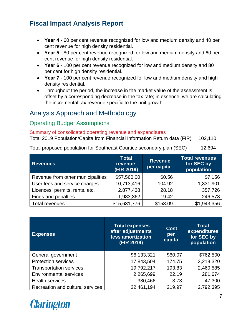- **Year 4** 60 per cent revenue recognized for low and medium density and 40 per cent revenue for high density residential.
- **Year 5** 80 per cent revenue recognized for low and medium density and 60 per cent revenue for high density residential.
- **Year 6** 100 per cent revenue recognized for low and medium density and 80 per cent for high density residential.
- **Year 7** 100 per cent revenue recognized for low and medium density and high density residential.
- Throughout the period, the increase in the market value of the assessment is offset by a corresponding decrease in the tax rate; in essence, we are calculating the incremental tax revenue specific to the unit growth.

## <span id="page-7-0"></span>Analysis Approach and Methodology

#### <span id="page-7-1"></span>Operating Budget Assumptions

#### Summary of consolidated operating revenue and expenditures

Total 2019 Population/Capita from Financial Information Return data (FIR) 102,110

Total proposed population for Southeast Courtice secondary plan (SEC) 12,694

| <b>Revenues</b>                   | <b>Total</b><br>revenue<br>(FIR 2019) | <b>Revenue</b><br>per capita | <b>Total revenues</b><br>for SEC by<br>population |  |
|-----------------------------------|---------------------------------------|------------------------------|---------------------------------------------------|--|
| Revenue from other municipalities | \$57,560.00                           | \$0.56                       | \$7,156                                           |  |
| User fees and service charges     | 10,713,416                            | 104.92                       | 1,331,901                                         |  |
| Licences, permits, rents, etc.    | 2,877,438                             | 28.18                        | 357,726                                           |  |
| Fines and penalties               | 1,983,362                             | 19.42                        | 246,573                                           |  |
| Total revenues                    | \$15,631,776                          | \$153.09                     | \$1,943,356                                       |  |

| <b>Expenses</b>                  | <b>Total expenses</b><br>after adjustments<br>less amortization<br>(FIR 2019) | Cost<br>per<br>capita | <b>Total</b><br>expenditures<br>for SEC by<br>population |
|----------------------------------|-------------------------------------------------------------------------------|-----------------------|----------------------------------------------------------|
| General government               | \$6,133,321                                                                   | \$60.07               | \$762,500                                                |
| <b>Protection services</b>       | 17,843,504                                                                    | 174.75                | 2,218,320                                                |
| <b>Transportation services</b>   | 19,792,217                                                                    | 193.83                | 2,460,585                                                |
| <b>Environmental services</b>    | 2,265,699                                                                     | 22.19                 | 281,674                                                  |
| <b>Health services</b>           | 380,466                                                                       | 3.73                  | 47,300                                                   |
| Recreation and cultural services | 22,461,194                                                                    | 219.97                | 2,792,395                                                |

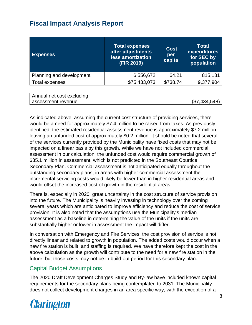| <b>Expenses</b>          | Total expenses<br>after adjustments<br>less amortization<br>(FIR 2019) | <b>Cost</b><br>per<br>capita | <b>Total</b><br>expenditures<br>for SEC by<br>population |
|--------------------------|------------------------------------------------------------------------|------------------------------|----------------------------------------------------------|
| Planning and development | 6,556,672                                                              | 64.21                        | 815,131                                                  |
| Total expenses           | \$75,433,073                                                           | \$738.74                     | 9,377,904                                                |
|                          |                                                                        |                              |                                                          |

| Annual net cost excluding |               |
|---------------------------|---------------|
| assessment revenue        | (\$7,434,548) |

As indicated above, assuming the current cost structure of providing services, there would be a need for approximately \$7.4 million to be raised from taxes. As previously identified, the estimated residential assessment revenue is approximately \$7.2 million leaving an unfunded cost of approximately \$0.2 million. It should be noted that several of the services currently provided by the Municipality have fixed costs that may not be impacted on a linear basis by this growth. While we have not included commercial assessment in our calculation, the unfunded cost would require commercial growth of \$35.1 million in assessment, which is not predicted in the Southeast Courtice Secondary Plan. Commercial assessment is not anticipated equally throughout the outstanding secondary plans, in areas with higher commercial assessment the incremental servicing costs would likely be lower than in higher residential areas and would offset the increased cost of growth in the residential areas.

There is, especially in 2020, great uncertainty in the cost structure of service provision into the future. The Municipality is heavily investing in technology over the coming several years which are anticipated to improve efficiency and reduce the cost of service provision. It is also noted that the assumptions use the Municipality's median assessment as a baseline in determining the value of the units if the units are substantially higher or lower in assessment the impact will differ.

In conversation with Emergency and Fire Services, the cost provision of service is not directly linear and related to growth in population. The added costs would occur when a new fire station is built, and staffing is required. We have therefore kept the cost in the above calculation as the growth will contribute to the need for a new fire station in the future, but those costs may not be in build-out period for this secondary plan.

#### <span id="page-8-0"></span>Capital Budget Assumptions

The 2020 Draft Development Charges Study and By-law have included known capital requirements for the secondary plans being contemplated to 2031. The Municipality does not collect development charges in an area specific way, with the exception of a

## **Clarington**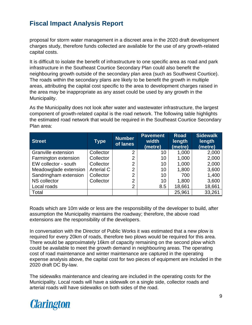proposal for storm water management in a discreet area in the 2020 draft development charges study, therefore funds collected are available for the use of any growth-related capital costs.

It is difficult to isolate the benefit of infrastructure to one specific area as road and park infrastructure in the Southeast Courtice Secondary Plan could also benefit the neighbouring growth outside of the secondary plan area (such as Southwest Courtice). The roads within the secondary plans are likely to be benefit the growth in multiple areas, attributing the capital cost specific to the area to development charges raised in the area may be inappropriate as any asset could be used by any growth in the Municipality.

As the Municipality does not look after water and wastewater infrastructure, the largest component of growth-related capital is the road network. The following table highlights the estimated road network that would be required in the Southeast Courtice Secondary Plan area:

| <b>Street</b>         | <b>Type</b>       | <b>Number</b><br>of lanes | <b>Pavement</b><br>width<br>(metre) | <b>Road</b><br>length<br>(metre) | <b>Sidewalk</b><br>length<br>(metre) |
|-----------------------|-------------------|---------------------------|-------------------------------------|----------------------------------|--------------------------------------|
| Granville extension   | Collector         | 2                         | 10                                  | 1,000                            | 2,000                                |
| Farmington extension  | Collector         | $\overline{2}$            | 10                                  | 1,000                            | 2,000                                |
| EW collector - south  | Collector         | 2                         | 10                                  | 1,000                            | 2,000                                |
| Meadowglade extension | <b>Arterial C</b> | $\overline{2}$            | 10                                  | 1,800                            | 3,600                                |
| Sandringham extension | Collector         | 2                         | 10                                  | 700                              | 1,400                                |
| <b>NS</b> collector   | Collector         | 2                         | 10                                  | 1,800                            | 3,600                                |
| Local roads           |                   | 2                         | 8.5                                 | 18,661                           | 18,661                               |
| Total                 |                   |                           |                                     | 25,961                           | 33,261                               |

Roads which are 10m wide or less are the responsibility of the developer to build, after assumption the Municipality maintains the roadway; therefore, the above road extensions are the responsibility of the developers.

In conversation with the Director of Public Works it was estimated that a new plow is required for every 20km of roads, therefore two plows would be required for this area. There would be approximately 16km of capacity remaining on the second plow which could be available to meet the growth demand in neighbouring areas. The operating cost of road maintenance and winter maintenance are captured in the operating expense analysis above, the capital cost for two pieces of equipment are included in the 2020 draft DC By-law.

The sidewalks maintenance and clearing are included in the operating costs for the Municipality. Local roads will have a sidewalk on a single side, collector roads and arterial roads will have sidewalks on both sides of the road.

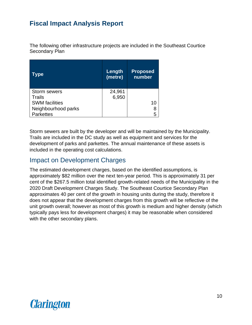The following other infrastructure projects are included in the Southeast Courtice Secondary Plan

| Type                  | Length<br>(metre) | <b>Proposed</b><br>number |
|-----------------------|-------------------|---------------------------|
| <b>Storm sewers</b>   | 24,961            |                           |
| Trails                | 6,950             |                           |
| <b>SWM</b> facilities |                   | 10                        |
| Neighbourhood parks   |                   | 8                         |
| <b>Parkettes</b>      |                   | 5                         |

Storm sewers are built by the developer and will be maintained by the Municipality. Trails are included in the DC study as well as equipment and services for the development of parks and parkettes. The annual maintenance of these assets is included in the operating cost calculations.

### <span id="page-10-0"></span>Impact on Development Charges

The estimated development charges, based on the identified assumptions, is approximately \$82 million over the next ten-year period. This is approximately 31 per cent of the \$267.5 million total identified growth-related needs of the Municipality in the 2020 Draft Development Charges Study. The Southeast Courtice Secondary Plan approximates 40 per cent of the growth in housing units during the study, therefore it does not appear that the development charges from this growth will be reflective of the unit growth overall; however as most of this growth is medium and higher density (which typically pays less for development charges) it may be reasonable when considered with the other secondary plans.

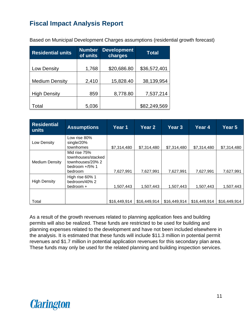| <b>Residential units</b> | <b>Number</b><br>of units | <b>Development</b><br>charges | Total        |  |
|--------------------------|---------------------------|-------------------------------|--------------|--|
| Low Density              | 1,768                     | \$20,686.80                   | \$36,572,401 |  |
| <b>Medium Density</b>    | 2,410                     | 15,828.40                     | 38,139,954   |  |
| <b>High Density</b>      | 859                       | 8,778.80                      | 7,537,214    |  |
| Total                    | 5,036                     |                               | \$82,249,569 |  |

Based on Municipal Development Charges assumptions (residential growth forecast)

| <b>Residential</b><br>units | <b>Assumptions</b>                                                                     | Year 1       | Year 2       | Year 3       | Year 4       | Year 5       |
|-----------------------------|----------------------------------------------------------------------------------------|--------------|--------------|--------------|--------------|--------------|
| Low Density                 | Low rise 80%<br>single/20%<br>townhomes                                                | \$7,314,480  | \$7,314,480  | \$7,314,480  | \$7,314,480  | \$7,314,480  |
| <b>Medium Density</b>       | Mid rise 75%<br>townhouses/stacked<br>townhouses/20% 2<br>bedroom $+/5\%$ 1<br>bedroom | 7,627,991    | 7,627,991    | 7,627,991    | 7,627,991    | 7,627,991    |
| <b>High Density</b>         | High rise 60% 1<br>bedroom/40% 2<br>bedroom +                                          | 1,507,443    | 1,507,443    | 1,507,443    | 1,507,443    | 1,507,443    |
| Total                       |                                                                                        | \$16,449,914 | \$16,449,914 | \$16,449,914 | \$16,449,914 | \$16,449,914 |

<span id="page-11-0"></span>As a result of the growth revenues related to planning application fees and building permits will also be realized. These funds are restricted to be used for building and planning expenses related to the development and have not been included elsewhere in the analysis. It is estimated that these funds will include \$11.3 million in potential permit revenues and \$1.7 million in potential application revenues for this secondary plan area. These funds may only be used for the related planning and building inspection services.